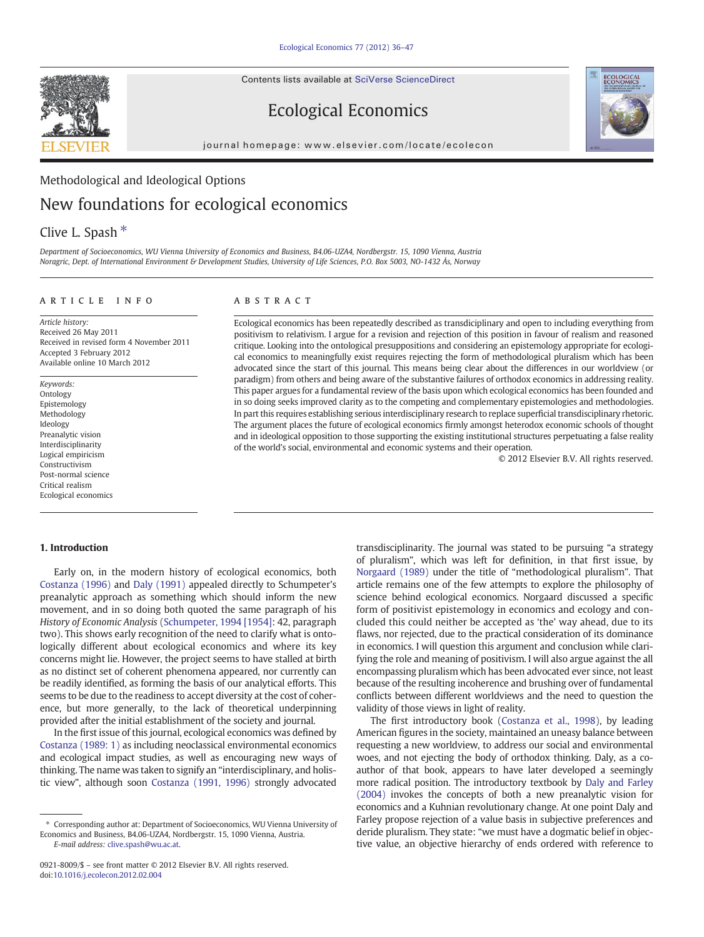Contents lists available at SciVerse ScienceDirect



## Ecological Economics

journal homepage: www.elsevier.com/locate/ecolecon

## Methodological and Ideological Options New foundations for ecological economics

### Clive L. Spash  $*$

Department of Socioeconomics, WU Vienna University of Economics and Business, B4.06-UZA4, Nordbergstr. 15, 1090 Vienna, Austria Noragric, Dept. of International Environment & Development Studies, University of Life Sciences, P.O. Box 5003, NO-1432 Ås, Norway

#### article info abstract

Article history: Received 26 May 2011 Received in revised form 4 November 2011 Accepted 3 February 2012 Available online 10 March 2012

Keywords: Ontology Epistemology Methodology Ideology Preanalytic vision Interdisciplinarity Logical empiricism Constructivism Post-normal science Critical realism Ecological economics

Ecological economics has been repeatedly described as transdiciplinary and open to including everything from positivism to relativism. I argue for a revision and rejection of this position in favour of realism and reasoned critique. Looking into the ontological presuppositions and considering an epistemology appropriate for ecological economics to meaningfully exist requires rejecting the form of methodological pluralism which has been advocated since the start of this journal. This means being clear about the differences in our worldview (or paradigm) from others and being aware of the substantive failures of orthodox economics in addressing reality. This paper argues for a fundamental review of the basis upon which ecological economics has been founded and in so doing seeks improved clarity as to the competing and complementary epistemologies and methodologies. In part this requires establishing serious interdisciplinary research to replace superficial transdisciplinary rhetoric. The argument places the future of ecological economics firmly amongst heterodox economic schools of thought and in ideological opposition to those supporting the existing institutional structures perpetuating a false reality of the world's social, environmental and economic systems and their operation.

© 2012 Elsevier B.V. All rights reserved.

### 1. Introduction

Early on, in the modern history of ecological economics, both [Costanza \(1996\)](#page--1-0) and [Daly \(1991\)](#page--1-0) appealed directly to Schumpeter's preanalytic approach as something which should inform the new movement, and in so doing both quoted the same paragraph of his History of Economic Analysis ([Schumpeter, 1994 \[1954\]](#page--1-0): 42, paragraph two). This shows early recognition of the need to clarify what is ontologically different about ecological economics and where its key concerns might lie. However, the project seems to have stalled at birth as no distinct set of coherent phenomena appeared, nor currently can be readily identified, as forming the basis of our analytical efforts. This seems to be due to the readiness to accept diversity at the cost of coherence, but more generally, to the lack of theoretical underpinning provided after the initial establishment of the society and journal.

In the first issue of this journal, ecological economics was defined by [Costanza \(1989: 1\)](#page--1-0) as including neoclassical environmental economics and ecological impact studies, as well as encouraging new ways of thinking. The name was taken to signify an "interdisciplinary, and holistic view", although soon [Costanza \(1991, 1996\)](#page--1-0) strongly advocated

E-mail address: [clive.spash@wu.ac.at](mailto:clive.spash@wu.ac.at).

transdisciplinarity. The journal was stated to be pursuing "a strategy of pluralism", which was left for definition, in that first issue, by [Norgaard \(1989\)](#page--1-0) under the title of "methodological pluralism". That article remains one of the few attempts to explore the philosophy of science behind ecological economics. Norgaard discussed a specific form of positivist epistemology in economics and ecology and concluded this could neither be accepted as 'the' way ahead, due to its flaws, nor rejected, due to the practical consideration of its dominance in economics. I will question this argument and conclusion while clarifying the role and meaning of positivism. I will also argue against the all encompassing pluralism which has been advocated ever since, not least because of the resulting incoherence and brushing over of fundamental conflicts between different worldviews and the need to question the validity of those views in light of reality.

The first introductory book ([Costanza et al., 1998](#page--1-0)), by leading American figures in the society, maintained an uneasy balance between requesting a new worldview, to address our social and environmental woes, and not ejecting the body of orthodox thinking. Daly, as a coauthor of that book, appears to have later developed a seemingly more radical position. The introductory textbook by [Daly and Farley](#page--1-0) [\(2004\)](#page--1-0) invokes the concepts of both a new preanalytic vision for economics and a Kuhnian revolutionary change. At one point Daly and Farley propose rejection of a value basis in subjective preferences and deride pluralism. They state: "we must have a dogmatic belief in objective value, an objective hierarchy of ends ordered with reference to

<sup>⁎</sup> Corresponding author at: Department of Socioeconomics, WU Vienna University of Economics and Business, B4.06-UZA4, Nordbergstr. 15, 1090 Vienna, Austria.

<sup>0921-8009/\$</sup> – see front matter © 2012 Elsevier B.V. All rights reserved. doi[:10.1016/j.ecolecon.2012.02.004](http://dx.doi.org/10.1016/j.ecolecon.2012.02.004)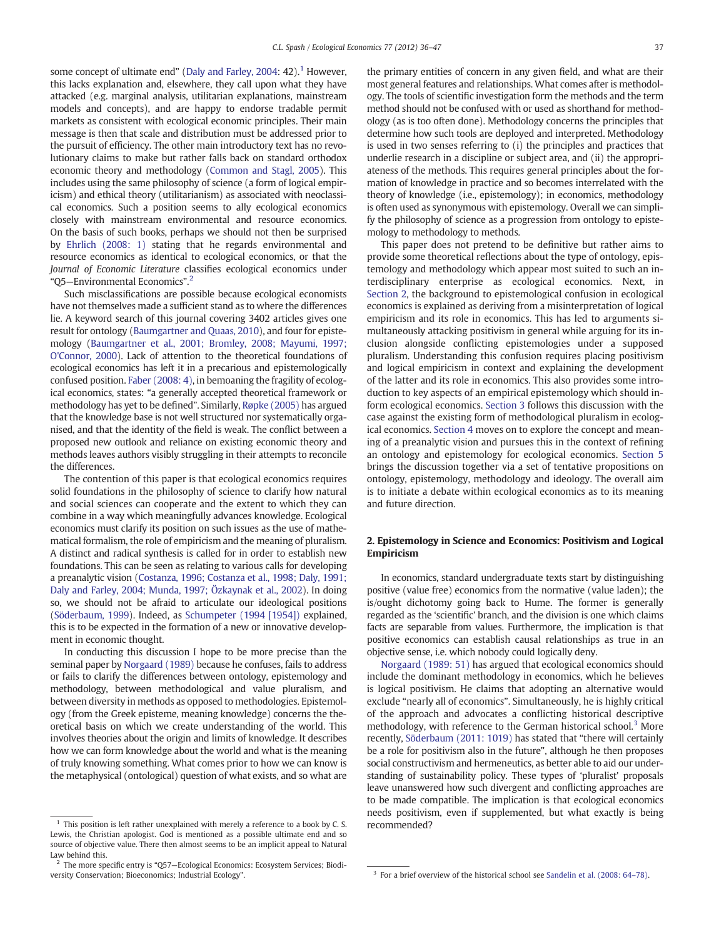some concept of ultimate end" ([Daly and Farley, 2004:](#page--1-0) 42).<sup>1</sup> However, this lacks explanation and, elsewhere, they call upon what they have attacked (e.g. marginal analysis, utilitarian explanations, mainstream models and concepts), and are happy to endorse tradable permit markets as consistent with ecological economic principles. Their main message is then that scale and distribution must be addressed prior to the pursuit of efficiency. The other main introductory text has no revolutionary claims to make but rather falls back on standard orthodox economic theory and methodology ([Common and Stagl, 2005](#page--1-0)). This includes using the same philosophy of science (a form of logical empiricism) and ethical theory (utilitarianism) as associated with neoclassical economics. Such a position seems to ally ecological economics closely with mainstream environmental and resource economics. On the basis of such books, perhaps we should not then be surprised by [Ehrlich \(2008: 1\)](#page--1-0) stating that he regards environmental and resource economics as identical to ecological economics, or that the Journal of Economic Literature classifies ecological economics under "Q5—Environmental Economics". 2

Such misclassifications are possible because ecological economists have not themselves made a sufficient stand as to where the differences lie. A keyword search of this journal covering 3402 articles gives one result for ontology ([Baumgartner and Quaas, 2010](#page--1-0)), and four for epistemology ([Baumgartner et al., 2001; Bromley, 2008; Mayumi, 1997;](#page--1-0) [O'Connor, 2000\)](#page--1-0). Lack of attention to the theoretical foundations of ecological economics has left it in a precarious and epistemologically confused position. [Faber \(2008: 4\),](#page--1-0) in bemoaning the fragility of ecological economics, states: "a generally accepted theoretical framework or methodology has yet to be defined". Similarly, [Røpke \(2005\)](#page--1-0) has argued that the knowledge base is not well structured nor systematically organised, and that the identity of the field is weak. The conflict between a proposed new outlook and reliance on existing economic theory and methods leaves authors visibly struggling in their attempts to reconcile the differences.

The contention of this paper is that ecological economics requires solid foundations in the philosophy of science to clarify how natural and social sciences can cooperate and the extent to which they can combine in a way which meaningfully advances knowledge. Ecological economics must clarify its position on such issues as the use of mathematical formalism, the role of empiricism and the meaning of pluralism. A distinct and radical synthesis is called for in order to establish new foundations. This can be seen as relating to various calls for developing a preanalytic vision [\(Costanza, 1996; Costanza et al., 1998; Daly, 1991;](#page--1-0) [Daly and Farley, 2004; Munda, 1997; Özkaynak et al., 2002\)](#page--1-0). In doing so, we should not be afraid to articulate our ideological positions [\(Söderbaum, 1999](#page--1-0)). Indeed, as [Schumpeter \(1994 \[1954\]\)](#page--1-0) explained, this is to be expected in the formation of a new or innovative development in economic thought.

In conducting this discussion I hope to be more precise than the seminal paper by [Norgaard \(1989\)](#page--1-0) because he confuses, fails to address or fails to clarify the differences between ontology, epistemology and methodology, between methodological and value pluralism, and between diversity in methods as opposed to methodologies. Epistemology (from the Greek episteme, meaning knowledge) concerns the theoretical basis on which we create understanding of the world. This involves theories about the origin and limits of knowledge. It describes how we can form knowledge about the world and what is the meaning of truly knowing something. What comes prior to how we can know is the metaphysical (ontological) question of what exists, and so what are the primary entities of concern in any given field, and what are their most general features and relationships. What comes after is methodology. The tools of scientific investigation form the methods and the term method should not be confused with or used as shorthand for methodology (as is too often done). Methodology concerns the principles that determine how such tools are deployed and interpreted. Methodology is used in two senses referring to (i) the principles and practices that underlie research in a discipline or subject area, and (ii) the appropriateness of the methods. This requires general principles about the formation of knowledge in practice and so becomes interrelated with the theory of knowledge (i.e., epistemology); in economics, methodology is often used as synonymous with epistemology. Overall we can simplify the philosophy of science as a progression from ontology to epistemology to methodology to methods.

This paper does not pretend to be definitive but rather aims to provide some theoretical reflections about the type of ontology, epistemology and methodology which appear most suited to such an interdisciplinary enterprise as ecological economics. Next, in Section 2, the background to epistemological confusion in ecological economics is explained as deriving from a misinterpretation of logical empiricism and its role in economics. This has led to arguments simultaneously attacking positivism in general while arguing for its inclusion alongside conflicting epistemologies under a supposed pluralism. Understanding this confusion requires placing positivism and logical empiricism in context and explaining the development of the latter and its role in economics. This also provides some introduction to key aspects of an empirical epistemology which should inform ecological economics. [Section 3](#page--1-0) follows this discussion with the case against the existing form of methodological pluralism in ecological economics. [Section 4](#page--1-0) moves on to explore the concept and meaning of a preanalytic vision and pursues this in the context of refining an ontology and epistemology for ecological economics. [Section 5](#page--1-0) brings the discussion together via a set of tentative propositions on ontology, epistemology, methodology and ideology. The overall aim is to initiate a debate within ecological economics as to its meaning and future direction.

### 2. Epistemology in Science and Economics: Positivism and Logical Empiricism

In economics, standard undergraduate texts start by distinguishing positive (value free) economics from the normative (value laden); the is/ought dichotomy going back to Hume. The former is generally regarded as the 'scientific' branch, and the division is one which claims facts are separable from values. Furthermore, the implication is that positive economics can establish causal relationships as true in an objective sense, i.e. which nobody could logically deny.

[Norgaard \(1989: 51\)](#page--1-0) has argued that ecological economics should include the dominant methodology in economics, which he believes is logical positivism. He claims that adopting an alternative would exclude "nearly all of economics". Simultaneously, he is highly critical of the approach and advocates a conflicting historical descriptive methodology, with reference to the German historical school.<sup>3</sup> More recently, [Söderbaum \(2011: 1019\)](#page--1-0) has stated that "there will certainly be a role for positivism also in the future", although he then proposes social constructivism and hermeneutics, as better able to aid our understanding of sustainability policy. These types of 'pluralist' proposals leave unanswered how such divergent and conflicting approaches are to be made compatible. The implication is that ecological economics needs positivism, even if supplemented, but what exactly is being

This position is left rather unexplained with merely a reference to a book by C. S. recommended? Lewis, the Christian apologist. God is mentioned as a possible ultimate end and so source of objective value. There then almost seems to be an implicit appeal to Natural Law behind this.

 $2$  The more specific entry is "Q57-Ecological Economics: Ecosystem Services; Biodiversity Conservation; Bioeconomics; Industrial Ecology". **3** For a brief overview of the historical school see [Sandelin et al. \(2008: 64](#page--1-0)–78).